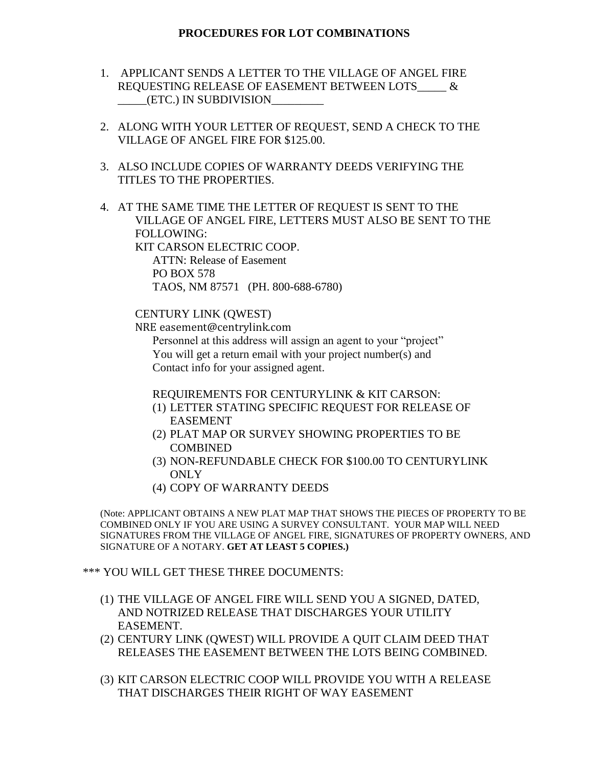## **PROCEDURES FOR LOT COMBINATIONS**

- 1. APPLICANT SENDS A LETTER TO THE VILLAGE OF ANGEL FIRE REQUESTING RELEASE OF EASEMENT BETWEEN LOTS\_\_\_\_\_ & \_\_\_\_\_(ETC.) IN SUBDIVISION\_\_\_\_\_\_\_\_\_
- 2. ALONG WITH YOUR LETTER OF REQUEST, SEND A CHECK TO THE VILLAGE OF ANGEL FIRE FOR \$125.00.
- 3. ALSO INCLUDE COPIES OF WARRANTY DEEDS VERIFYING THE TITLES TO THE PROPERTIES.
- 4. AT THE SAME TIME THE LETTER OF REQUEST IS SENT TO THE VILLAGE OF ANGEL FIRE, LETTERS MUST ALSO BE SENT TO THE FOLLOWING: KIT CARSON ELECTRIC COOP. ATTN: Release of Easement PO BOX 578

TAOS, NM 87571 (PH. 800-688-6780)

## CENTURY LINK (QWEST)

NRE easement@centrylink.com

Personnel at this address will assign an agent to your "project" You will get a return email with your project number(s) and Contact info for your assigned agent.

REQUIREMENTS FOR CENTURYLINK & KIT CARSON:

- (1) LETTER STATING SPECIFIC REQUEST FOR RELEASE OF EASEMENT
- (2) PLAT MAP OR SURVEY SHOWING PROPERTIES TO BE COMBINED
- (3) NON-REFUNDABLE CHECK FOR \$100.00 TO CENTURYLINK **ONLY**
- (4) COPY OF WARRANTY DEEDS

(Note: APPLICANT OBTAINS A NEW PLAT MAP THAT SHOWS THE PIECES OF PROPERTY TO BE COMBINED ONLY IF YOU ARE USING A SURVEY CONSULTANT. YOUR MAP WILL NEED SIGNATURES FROM THE VILLAGE OF ANGEL FIRE, SIGNATURES OF PROPERTY OWNERS, AND SIGNATURE OF A NOTARY. **GET AT LEAST 5 COPIES.)**

\*\*\* YOU WILL GET THESE THREE DOCUMENTS:

- (1) THE VILLAGE OF ANGEL FIRE WILL SEND YOU A SIGNED, DATED, AND NOTRIZED RELEASE THAT DISCHARGES YOUR UTILITY EASEMENT.
- (2) CENTURY LINK (QWEST) WILL PROVIDE A QUIT CLAIM DEED THAT RELEASES THE EASEMENT BETWEEN THE LOTS BEING COMBINED.
- (3) KIT CARSON ELECTRIC COOP WILL PROVIDE YOU WITH A RELEASE THAT DISCHARGES THEIR RIGHT OF WAY EASEMENT